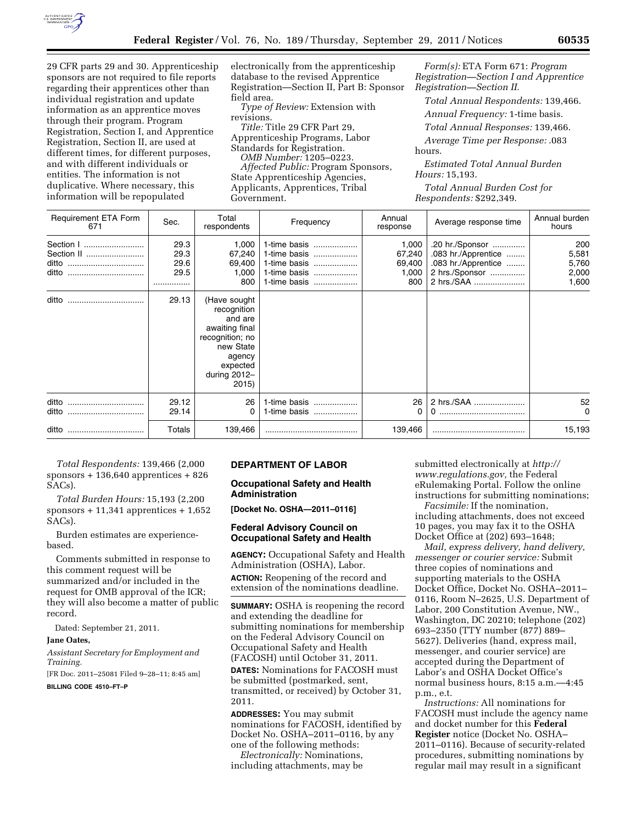

29 CFR parts 29 and 30. Apprenticeship sponsors are not required to file reports regarding their apprentices other than individual registration and update information as an apprentice moves through their program. Program Registration, Section I, and Apprentice Registration, Section II, are used at different times, for different purposes, and with different individuals or entities. The information is not duplicative. Where necessary, this information will be repopulated

electronically from the apprenticeship database to the revised Apprentice Registration—Section II, Part B: Sponsor field area.

*Type of Review:* Extension with revisions.

*Title:* Title 29 CFR Part 29, Apprenticeship Programs, Labor Standards for Registration. *OMB Number:* 1205–0223. *Affected Public:* Program Sponsors, State Apprenticeship Agencies, Applicants, Apprentices, Tribal Government.

*Form(s):* ETA Form 671: *Program Registration—Section I and Apprentice Registration—Section II.* 

*Total Annual Respondents:* 139,466.

*Annual Frequency:* 1-time basis.

*Total Annual Responses:* 139,466.

*Average Time per Response:* .083 hours.

*Estimated Total Annual Burden Hours:* 15,193.

*Total Annual Burden Cost for Respondents:* \$292,349.

| <b>Requirement ETA Form</b><br>671 | Sec.                             | Total<br>respondents                                                                                                                      | Frequency                                                                    | Annual<br>response                        | Average response time                                                                         | Annual burden<br>hours                  |
|------------------------------------|----------------------------------|-------------------------------------------------------------------------------------------------------------------------------------------|------------------------------------------------------------------------------|-------------------------------------------|-----------------------------------------------------------------------------------------------|-----------------------------------------|
| Section I                          | 29.3<br>29.3<br>29.6<br>29.5<br> | 1,000<br>67,240<br>69,400<br>1,000<br>800                                                                                                 | 1-time basis<br>1-time basis<br>1-time basis<br>1-time basis<br>1-time basis | 1,000<br>67,240<br>69,400<br>1,000<br>800 | .20 hr./Sponsor<br>.083 hr./Apprentice<br>.083 hr./Apprentice<br>2 hrs./Sponsor<br>2 hrs./SAA | 200<br>5,581<br>5,760<br>2,000<br>1,600 |
| ditto<br>                          | 29.13                            | (Have sought<br>recognition<br>and are<br>awaiting final<br>recognition; no<br>new State<br>agency<br>expected<br>during $2012-$<br>2015) |                                                                              |                                           |                                                                                               |                                         |
| ditto<br>ditto                     | 29.12<br>29.14                   | 26<br>0                                                                                                                                   | 1-time basis<br>1-time basis                                                 | 26<br>0                                   | 2 hrs./SAA                                                                                    | 52<br>$\Omega$                          |
| ditto                              | Totals                           | 139,466                                                                                                                                   |                                                                              | 139,466                                   |                                                                                               | 15,193                                  |

*Total Respondents:* 139,466 (2,000 sponsors + 136,640 apprentices + 826 SACs).

*Total Burden Hours:* 15,193 (2,200  $s$ ponsors + 11,341 apprentices + 1,652 SACs).

Burden estimates are experiencebased.

Comments submitted in response to this comment request will be summarized and/or included in the request for OMB approval of the ICR; they will also become a matter of public record.

Dated: September 21, 2011.

# **Jane Oates,**

*Assistant Secretary for Employment and Training.* 

[FR Doc. 2011–25081 Filed 9–28–11; 8:45 am]

**BILLING CODE 4510–FT–P** 

## **DEPARTMENT OF LABOR**

# **Occupational Safety and Health Administration**

**[Docket No. OSHA—2011–0116]** 

#### **Federal Advisory Council on Occupational Safety and Health**

**AGENCY:** Occupational Safety and Health Administration (OSHA), Labor.

**ACTION:** Reopening of the record and extension of the nominations deadline.

**SUMMARY:** OSHA is reopening the record and extending the deadline for submitting nominations for membership on the Federal Advisory Council on Occupational Safety and Health (FACOSH) until October 31, 2011.

**DATES:** Nominations for FACOSH must be submitted (postmarked, sent, transmitted, or received) by October 31, 2011.

**ADDRESSES:** You may submit nominations for FACOSH, identified by Docket No. OSHA–2011–0116, by any one of the following methods:

*Electronically:* Nominations, including attachments, may be submitted electronically at *[http://](http://www.regulations.gov) [www.regulations.gov,](http://www.regulations.gov)* the Federal eRulemaking Portal. Follow the online instructions for submitting nominations;

*Facsimile:* If the nomination, including attachments, does not exceed 10 pages, you may fax it to the OSHA Docket Office at (202) 693–1648;

*Mail, express delivery, hand delivery, messenger or courier service:* Submit three copies of nominations and supporting materials to the OSHA Docket Office, Docket No. OSHA–2011– 0116, Room N–2625, U.S. Department of Labor, 200 Constitution Avenue, NW., Washington, DC 20210; telephone (202) 693–2350 (TTY number (877) 889– 5627). Deliveries (hand, express mail, messenger, and courier service) are accepted during the Department of Labor's and OSHA Docket Office's normal business hours, 8:15 a.m.—4:45 p.m., e.t.

*Instructions:* All nominations for FACOSH must include the agency name and docket number for this **Federal Register** notice (Docket No. OSHA– 2011–0116). Because of security-related procedures, submitting nominations by regular mail may result in a significant